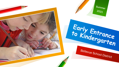Summer 2021 Early Entrance Bellevue School District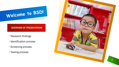# Welcome to BSD!

#### OVERVIEW OF PRESENTATION

- Research findings
- Identification process
- Screening process
- Testing process

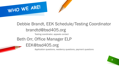

## Debbie Brandt, EEK Schedule/Testing Coordinator

### brandtd@bsd405.org

Testing coordinator, appeals contact

### Beth Orr, Office Manager ELP

### EEK@bsd405.org

Application questions, residency questions, payment questions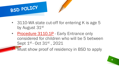

- 3110-WA state cut-off for entering K is age 5 by August 31st
	- [Procedure 3110.1P](https://bsd405.org/wp-content/pdf/policy/3110-1p.pdf) Early Entrance only considered for children who will be 5 between Sept 1<sup>st</sup> - Oct 31<sup>st</sup>, 2021

• Must show proof of residency in BSD to apply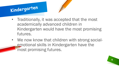



- Traditionally, it was accepted that the most academically advanced children in Kindergarten would have the most promising futures.
- We now know that children with strong socialemotional skills in Kindergarten have the most promising futures.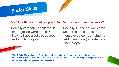#### **Social skills are a better predictor for success than academics\***

• Socially competent children in kindergarten were much more likely to have a college degree and a full-time job by 25.

Social Skills

• Socially limited children have an increased chance of negative outcomes including addiction, being arrested and unemployed.

**\*2015 Duke University and Pennsylvania State University study followed children from Kindergarten for over 20 years has shown that their social skills entering Kindergarten are a better predictor of success than academics. 6**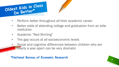



- Perform better throughout all their academic career
- Better odds of attending college and graduation from an elite institution
- Academic "Red Shirting"
- The gap occurs at all socioeconomic levels
- Social and cognitive differences between children who are nearly a year apart can be very dramatic

**\*National Bureau of Economic Research**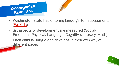



- Washington State has entering kindergarten assessments [\(WaKids](https://www.k12.wa.us/student-success/testing/state-testing-overview/washington-kindergarten-inventory-developing-skills-wakids))
- Six aspects of development are measured (Social-Emotional, Physical, Language, Cognitive, Literacy, Math)
- Each child is unique and develops in their own way at different paces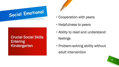## Social Emotional

### Crucial Social Skills **Entering** Kindergarten



- Cooperation with peers
- Helpfulness to peers
- Ability to read and understand

feelings

• Problem-solving ability without adult intervention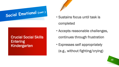# Social Emotional (cont.)

### Crucial Social Skills **Entering** Kindergarten



• Sustains focus until task is

completed

- Accepts reasonable challenges, continues through frustration
- Expresses self appropriately (e.g., without fighting/crying)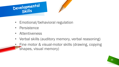



- Emotional/behavioral regulation
- Persistence
- Attentiveness
- Verbal skills (auditory memory, verbal reasoning)
- Fine motor & visual-motor skills (drawing, copying shapes, visual memory)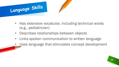

- Has extensive vocabular, including technical words (e.g., pediatrician)
- Describes relationships between objects
- Links spoken communication to written language
- Uses language that stimulates concept development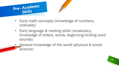



- Early math concepts (knowledge of numbers, ordinality)
- Early language & reading skills (vocabulary, knowledge of letters, words, beginning/ending word sounds)
- General knowledge of the world (physical & social science)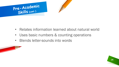



- Relates information learned about natural world
- Uses basic numbers & counting operations
- Blends letter-sounds into words



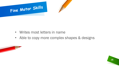



- Writes most letters in name
- Able to copy more complex shapes & designs



**15**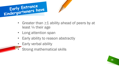



- Greater than  $\geq 1$  ability ahead of peers by at least ¼ their age
- Long attention span
- Early ability to reason abstractly
- Early verbal ability
	- Strong mathematical skills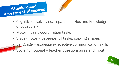



- Cognitive solve visual spatial puzzles and knowledge of vocabulary
- Motor basic coordination tasks
- Visual-motor paper-pencil tasks, copying shapes
- Language expressive/receptive communication skills
- Social/Emotional –Teacher questionnaires and input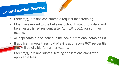



- Parents/guardians can submit a request for screening.
- Must have moved to the Bellevue School District Boundary and be an established resident after April 1<sup>st</sup>, 2021, for summer testing.
- All applicants are screened in the social-emotional domain first.
- If applicant meets threshold of skills at or above 90<sup>th</sup> percentile, they will be eligible for further testing.
- Parents/guardians submit testing applications along with applicable fees.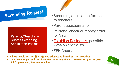# Screening Request

Parents/Guardians Submit Screening Application Packet



- Screening application form sent to teachers
- Parent questionnaire
- Personal check or money order for \$75
- **Establish Residency** (possible ways on checklist)
- EEK Checklist
- **All materials to the ELP Office, address is listed on the checklist**
- **Upon receipt you will be given the social emotional screener to give to your child's preschool/daycare teacher**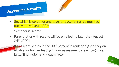



- Social Skills screener and teacher questionnaires must be received by August 22nd
- Screener is scored
- Parent letter with results will be emailed no later than August 24th , 2021
	- **If applicant scores in the 90<sup>th</sup> percentile rank or higher, they are** eligible for further testing in four assessment areas: cognitive, large/fine motor, and visual-motor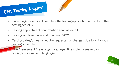



- Parents/guardians will complete the testing application and submit the testing fee of \$300
- Testing appointment confirmation sent via email.
- Testing will take place end of August 2021
- Testing dates/times cannot be requested or changed due to a rigorous testing schedule

Five Assessment Areas: cognitive, large/fine motor, visual-motor, social/emotional and language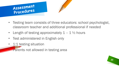



- Length of testing approximately  $1 1\frac{1}{2}$  hours
- Test administered in English only
- 1:1 testing situation

**• Parents not allowed in testing area**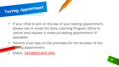

- If your child is sick on the day of your testing appointment, please call or email the Early Learning Program office to cancel and request a make-up testing appointment (if available)
- Parents must stay on the premises for the duration of the testing appointment
- EMAIL: [EEK@BSD405.ORG](mailto:EEK@BSD405.ORG)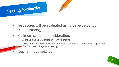



- Test scores will be evaluated using Bellevue School District scoring criteria
- Minimum score for consideration:
	- Cognitive and Communication  $-90<sup>TH</sup>$  percentile
	- Developmental areas must be six months' advanced of child's chronological age  $(5 - 5 \frac{1}{2})$  year old age equivalency)
- Teacher input weighed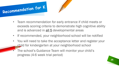



- If recommended, your neighborhood school will be notified
- You will need to take the acceptance letter and register your child for kindergarten at your neighborhood school
- The school's Guidance Team will monitor your child's progress (4-6 week trial period)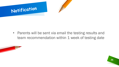

• Parents will be sent via email the testing results and team recommendation within 1 week of testing date



**26**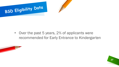





**27**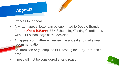

- Process for appeal
- A written appeal letter can be submitted to Debbie Brandt, [\(brandtd@bsd405.org\)](mailto:brandtd@bsd405.org), EEK Scheduling/Testing Coordinator, within 14 school days of the decision
- An appeal committee will review the appeal and make final recommendation
	- Children can only complete BSD testing for Early Entrance one time
- Illness will not be considered a valid reason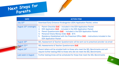



| <b>DATE</b>                        | <b>ACTION ITEM</b>                                                                                                                                                                                                                                                                                                                                                                      |
|------------------------------------|-----------------------------------------------------------------------------------------------------------------------------------------------------------------------------------------------------------------------------------------------------------------------------------------------------------------------------------------------------------------------------------------|
| July 10th                          | Download Early Entrance Kindergarten (EEK) Application Packet, online                                                                                                                                                                                                                                                                                                                   |
| August 15 <sup>th</sup> (midnight) | 1. Parent Checklist DUE – included in the EEK Application Packet<br>EEK Application DUE – included in the EEK Application Packet<br>Parent Questionnaire DUE - included in the EEK Application Packet<br>3.<br>Personal Check/Money Order DUE - \$75<br>4.<br>Residency Established with the Preschool Office DUE - instructions included in the<br>5.<br><b>EEK Application Packet</b> |
| August 16th                        | SEL Assessment & Teacher Questionnaire will be sent out to preschool provider via email                                                                                                                                                                                                                                                                                                 |
| August 22nd                        | <b>SEL Assessments &amp; Teacher Questionnaire DUE</b>                                                                                                                                                                                                                                                                                                                                  |
| August 24th                        | Parent letters will be emailed both to those who meet the SEL Benchmarks and will<br>require further testing AND to those who did not meet the SEL Benchmarks                                                                                                                                                                                                                           |
| Last week in August                | Further testing times will be scheduled for those that meet the SEL Benchmarks                                                                                                                                                                                                                                                                                                          |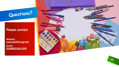## Questions?

#### Please contact

Website: [www.bsd405.org/eek](http://www.bsd405.org/eek)

Email: EEK@BSD405.ORG